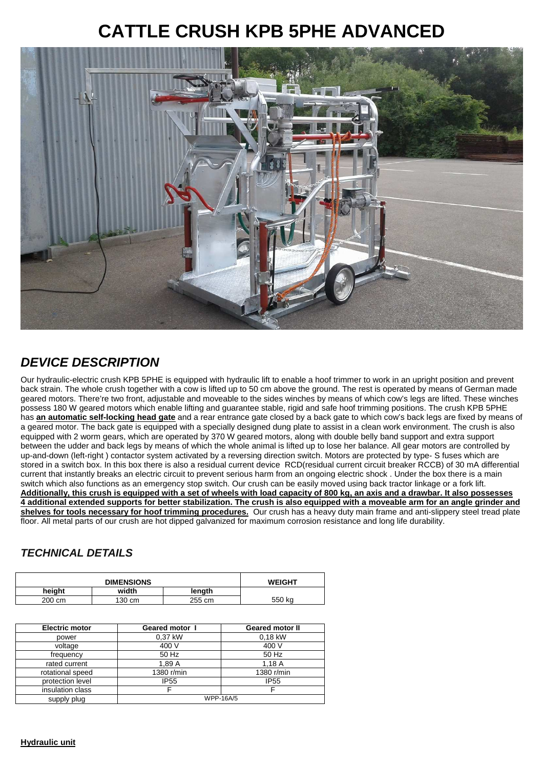## **CATTLE CRUSH KPB 5PHE ADVANCED**



## **DEVICE DESCRIPTION**

Our hydraulic-electric crush KPB 5PHE is equipped with hydraulic lift to enable a hoof trimmer to work in an upright position and prevent back strain. The whole crush together with a cow is lifted up to 50 cm above the ground. The rest is operated by means of German made geared motors. There're two front, adjustable and moveable to the sides winches by means of which cow's legs are lifted. These winches possess 180 W geared motors which enable lifting and guarantee stable, rigid and safe hoof trimming positions. The crush KPB 5PHE has **an automatic self-locking head gate** and a rear entrance gate closed by a back gate to which cow's back legs are fixed by means of a geared motor. The back gate is equipped with a specially designed dung plate to assist in a clean work environment. The crush is also equipped with 2 worm gears, which are operated by 370 W geared motors, along with double belly band support and extra support between the udder and back legs by means of which the whole animal is lifted up to lose her balance. All gear motors are controlled by up-and-down (left-right ) contactor system activated by a reversing direction switch. Motors are protected by type- S fuses which are stored in a switch box. In this box there is also a residual current device RCD(residual current circuit breaker RCCB) of 30 mA differential current that instantly breaks an electric circuit to prevent serious harm from an ongoing electric shock . Under the box there is a main switch which also functions as an emergency stop switch. Our crush can be easily moved using back tractor linkage or a fork lift. **Additionally, this crush is equipped with a set of wheels with load capacity of 800 kg, an axis and a drawbar. It also possesses 4 additional extended supports for better stabilization. The crush is also equipped with a moveable arm for an angle grinder and shelves for tools necessary for hoof trimming procedures.** Our crush has a heavy duty main frame and anti-slippery steel tread plate floor. All metal parts of our crush are hot dipped galvanized for maximum corrosion resistance and long life durability.

## **TECHNICAL DETAILS**

| <b>DIMENSIONS</b> |        |        | <b>WEIGHT</b> |
|-------------------|--------|--------|---------------|
| heiaht            | width  | length |               |
| 200 cm            | 130 cm | 255 cm | 550 kg        |

| <b>Electric motor</b> | <b>Geared motor 1</b> | <b>Geared motor II</b> |
|-----------------------|-----------------------|------------------------|
| power                 | 0,37 kW               | 0.18 kW                |
| voltage               | 400 V                 | 400 V                  |
| frequency             | 50 Hz                 | 50 Hz                  |
| rated current         | 1.89A                 | 1.18A                  |
| rotational speed      | 1380 r/min            | 1380 r/min             |
| protection level      | <b>IP55</b>           | <b>IP55</b>            |
| insulation class      |                       | F                      |
| supply plug           | <b>WPP-16A/5</b>      |                        |